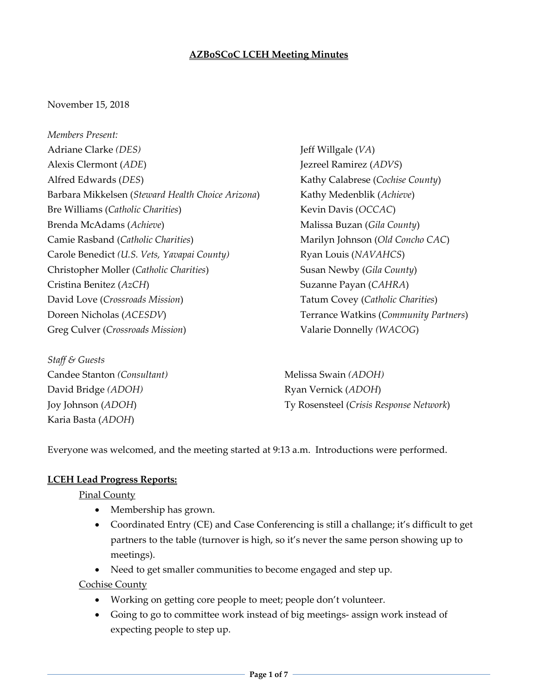### **AZBoSCoC LCEH Meeting Minutes**

#### November 15, 2018

*Members Present:* Adriane Clarke *(DES)* Alexis Clermont (*ADE*) Alfred Edwards (*DES*) Barbara Mikkelsen (*Steward Health Choice Arizona*) Bre Williams (*Catholic Charities*) Brenda McAdams (*Achieve*) Camie Rasband (*Catholic Charities*) Carole Benedict *(U.S. Vets, Yavapai County)* Christopher Moller (*Catholic Charities*) Cristina Benitez (*AzCH*) David Love (*Crossroads Mission*) Doreen Nicholas (*ACESDV*) Greg Culver (*Crossroads Mission*)

*Staff & Guests* Candee Stanton *(Consultant)* David Bridge *(ADOH)* Joy Johnson (*ADOH*) Karia Basta (*ADOH*)

Jeff Willgale (*VA*) Jezreel Ramirez (*ADVS*) Kathy Calabrese (*Cochise County*) Kathy Medenblik (*Achieve*) Kevin Davis (*OCCAC*) Malissa Buzan (*Gila County*) Marilyn Johnson (*Old Concho CAC*) Ryan Louis (*NAVAHCS*) Susan Newby (*Gila County*) Suzanne Payan (*CAHRA*) Tatum Covey (*Catholic Charities*) Terrance Watkins (*Community Partners*) Valarie Donnelly *(WACOG*)

Melissa Swain *(ADOH)* Ryan Vernick (*ADOH*) Ty Rosensteel (*Crisis Response Network*)

Everyone was welcomed, and the meeting started at 9:13 a.m. Introductions were performed.

#### **LCEH Lead Progress Reports:**

Pinal County

- Membership has grown.
- Coordinated Entry (CE) and Case Conferencing is still a challange; it's difficult to get partners to the table (turnover is high, so it's never the same person showing up to meetings).
- Need to get smaller communities to become engaged and step up.

Cochise County

- Working on getting core people to meet; people don't volunteer.
- Going to go to committee work instead of big meetings‐ assign work instead of expecting people to step up.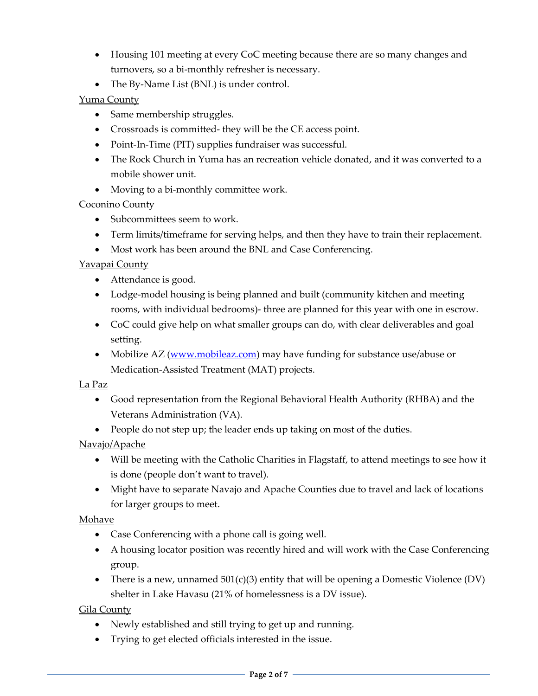- Housing 101 meeting at every CoC meeting because there are so many changes and turnovers, so a bi‐monthly refresher is necessary.
- The By-Name List (BNL) is under control.

## Yuma County

- Same membership struggles.
- Crossroads is committed‐ they will be the CE access point.
- Point-In-Time (PIT) supplies fundraiser was successful.
- The Rock Church in Yuma has an recreation vehicle donated, and it was converted to a mobile shower unit.
- Moving to a bi-monthly committee work.

## Coconino County

- Subcommittees seem to work.
- Term limits/timeframe for serving helps, and then they have to train their replacement.
- Most work has been around the BNL and Case Conferencing.

## Yavapai County

- Attendance is good.
- Lodge-model housing is being planned and built (community kitchen and meeting rooms, with individual bedrooms)‐ three are planned for this year with one in escrow.
- CoC could give help on what smaller groups can do, with clear deliverables and goal setting.
- Mobilize AZ (www.mobileaz.com) may have funding for substance use/abuse or Medication‐Assisted Treatment (MAT) projects.

### La Paz

- Good representation from the Regional Behavioral Health Authority (RHBA) and the Veterans Administration (VA).
- People do not step up; the leader ends up taking on most of the duties.

Navajo/Apache

- Will be meeting with the Catholic Charities in Flagstaff, to attend meetings to see how it is done (people don't want to travel).
- Might have to separate Navajo and Apache Counties due to travel and lack of locations for larger groups to meet.

### Mohave

- Case Conferencing with a phone call is going well.
- A housing locator position was recently hired and will work with the Case Conferencing group.
- There is a new, unnamed  $501(c)(3)$  entity that will be opening a Domestic Violence (DV) shelter in Lake Havasu (21% of homelessness is a DV issue).

# Gila County

- Newly established and still trying to get up and running.
- Trying to get elected officials interested in the issue.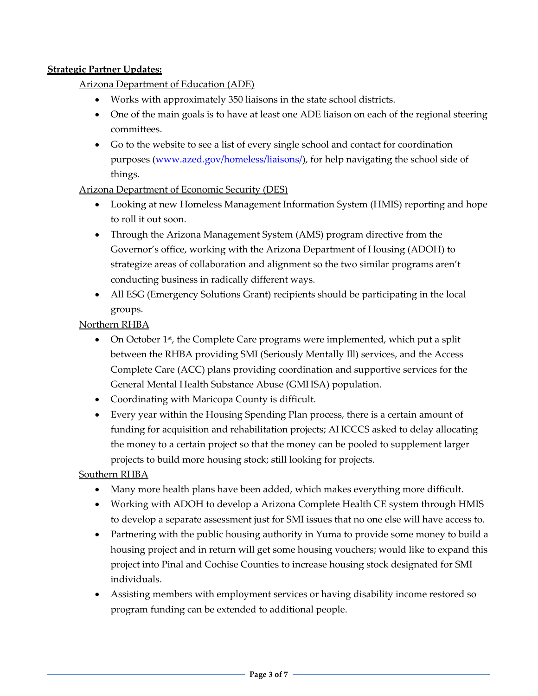### **Strategic Partner Updates:**

Arizona Department of Education (ADE)

- Works with approximately 350 liaisons in the state school districts.
- One of the main goals is to have at least one ADE liaison on each of the regional steering committees.
- Go to the website to see a list of every single school and contact for coordination purposes (www.azed.gov/homeless/liaisons/), for help navigating the school side of things.

### Arizona Department of Economic Security (DES)

- Looking at new Homeless Management Information System (HMIS) reporting and hope to roll it out soon.
- Through the Arizona Management System (AMS) program directive from the Governor's office, working with the Arizona Department of Housing (ADOH) to strategize areas of collaboration and alignment so the two similar programs aren't conducting business in radically different ways.
- All ESG (Emergency Solutions Grant) recipients should be participating in the local groups.

Northern RHBA

- On October  $1<sup>st</sup>$ , the Complete Care programs were implemented, which put a split between the RHBA providing SMI (Seriously Mentally Ill) services, and the Access Complete Care (ACC) plans providing coordination and supportive services for the General Mental Health Substance Abuse (GMHSA) population.
- Coordinating with Maricopa County is difficult.
- Every year within the Housing Spending Plan process, there is a certain amount of funding for acquisition and rehabilitation projects; AHCCCS asked to delay allocating the money to a certain project so that the money can be pooled to supplement larger projects to build more housing stock; still looking for projects.

Southern RHBA

- Many more health plans have been added, which makes everything more difficult.
- Working with ADOH to develop a Arizona Complete Health CE system through HMIS to develop a separate assessment just for SMI issues that no one else will have access to.
- Partnering with the public housing authority in Yuma to provide some money to build a housing project and in return will get some housing vouchers; would like to expand this project into Pinal and Cochise Counties to increase housing stock designated for SMI individuals.
- Assisting members with employment services or having disability income restored so program funding can be extended to additional people.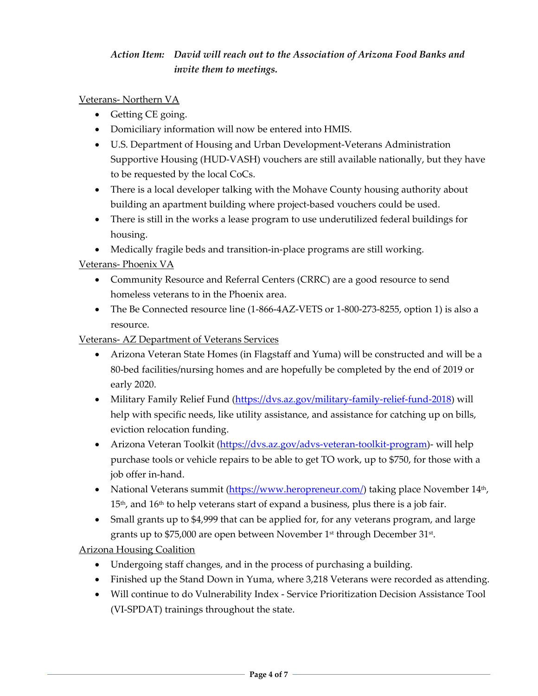# *Action Item: David will reach out to the Association of Arizona Food Banks and invite them to meetings.*

### Veterans‐ Northern VA

- Getting CE going.
- Domiciliary information will now be entered into HMIS.
- U.S. Department of Housing and Urban Development‐Veterans Administration Supportive Housing (HUD‐VASH) vouchers are still available nationally, but they have to be requested by the local CoCs.
- There is a local developer talking with the Mohave County housing authority about building an apartment building where project-based vouchers could be used.
- There is still in the works a lease program to use underutilized federal buildings for housing.
- Medically fragile beds and transition-in-place programs are still working.

### Veterans‐ Phoenix VA

- Community Resource and Referral Centers (CRRC) are a good resource to send homeless veterans to in the Phoenix area.
- The Be Connected resource line (1‐866‐4AZ‐VETS or 1‐800‐273‐8255, option 1) is also a resource.

### Veterans‐ AZ Department of Veterans Services

- Arizona Veteran State Homes (in Flagstaff and Yuma) will be constructed and will be a 80‐bed facilities/nursing homes and are hopefully be completed by the end of 2019 or early 2020.
- Military Family Relief Fund (https://dvs.az.gov/military-family-relief-fund-2018) will help with specific needs, like utility assistance, and assistance for catching up on bills, eviction relocation funding.
- Arizona Veteran Toolkit (https://dvs.az.gov/advs-veteran-toolkit-program) will help purchase tools or vehicle repairs to be able to get TO work, up to \$750, for those with a job offer in‐hand.
- National Veterans summit (https://www.heropreneur.com/) taking place November  $14<sup>th</sup>$ ,  $15<sup>th</sup>$ , and  $16<sup>th</sup>$  to help veterans start of expand a business, plus there is a job fair.
- Small grants up to \$4,999 that can be applied for, for any veterans program, and large grants up to \$75,000 are open between November 1st through December 31st.

# Arizona Housing Coalition

- Undergoing staff changes, and in the process of purchasing a building.
- Finished up the Stand Down in Yuma, where 3,218 Veterans were recorded as attending.
- Will continue to do Vulnerability Index ‐ Service Prioritization Decision Assistance Tool (VI‐SPDAT) trainings throughout the state.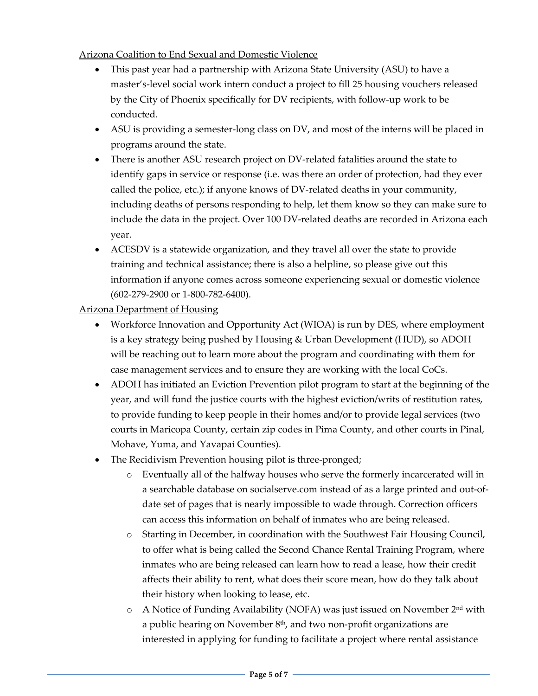Arizona Coalition to End Sexual and Domestic Violence

- This past year had a partnership with Arizona State University (ASU) to have a master's‐level social work intern conduct a project to fill 25 housing vouchers released by the City of Phoenix specifically for DV recipients, with follow‐up work to be conducted.
- ASU is providing a semester-long class on DV, and most of the interns will be placed in programs around the state.
- There is another ASU research project on DV-related fatalities around the state to identify gaps in service or response (i.e. was there an order of protection, had they ever called the police, etc.); if anyone knows of DV‐related deaths in your community, including deaths of persons responding to help, let them know so they can make sure to include the data in the project. Over 100 DV‐related deaths are recorded in Arizona each year.
- ACESDV is a statewide organization, and they travel all over the state to provide training and technical assistance; there is also a helpline, so please give out this information if anyone comes across someone experiencing sexual or domestic violence (602‐279‐2900 or 1‐800‐782‐6400).

Arizona Department of Housing

- Workforce Innovation and Opportunity Act (WIOA) is run by DES, where employment is a key strategy being pushed by Housing & Urban Development (HUD), so ADOH will be reaching out to learn more about the program and coordinating with them for case management services and to ensure they are working with the local CoCs.
- ADOH has initiated an Eviction Prevention pilot program to start at the beginning of the year, and will fund the justice courts with the highest eviction/writs of restitution rates, to provide funding to keep people in their homes and/or to provide legal services (two courts in Maricopa County, certain zip codes in Pima County, and other courts in Pinal, Mohave, Yuma, and Yavapai Counties).
- The Recidivism Prevention housing pilot is three-pronged;
	- o Eventually all of the halfway houses who serve the formerly incarcerated will in a searchable database on socialserve.com instead of as a large printed and out‐of‐ date set of pages that is nearly impossible to wade through. Correction officers can access this information on behalf of inmates who are being released.
	- o Starting in December, in coordination with the Southwest Fair Housing Council, to offer what is being called the Second Chance Rental Training Program, where inmates who are being released can learn how to read a lease, how their credit affects their ability to rent, what does their score mean, how do they talk about their history when looking to lease, etc.
	- $\circ$  A Notice of Funding Availability (NOFA) was just issued on November 2<sup>nd</sup> with a public hearing on November  $8<sup>th</sup>$ , and two non-profit organizations are interested in applying for funding to facilitate a project where rental assistance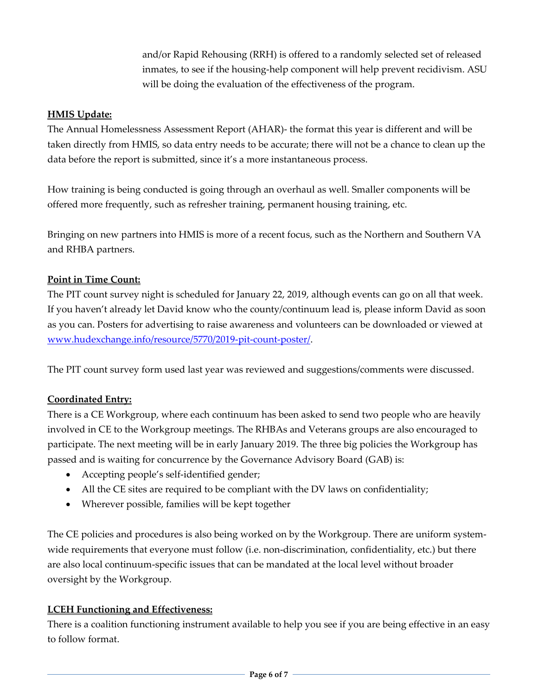and/or Rapid Rehousing (RRH) is offered to a randomly selected set of released inmates, to see if the housing-help component will help prevent recidivism. ASU will be doing the evaluation of the effectiveness of the program.

## **HMIS Update:**

The Annual Homelessness Assessment Report (AHAR)‐ the format this year is different and will be taken directly from HMIS, so data entry needs to be accurate; there will not be a chance to clean up the data before the report is submitted, since it's a more instantaneous process.

How training is being conducted is going through an overhaul as well. Smaller components will be offered more frequently, such as refresher training, permanent housing training, etc.

Bringing on new partners into HMIS is more of a recent focus, such as the Northern and Southern VA and RHBA partners.

### **Point in Time Count:**

The PIT count survey night is scheduled for January 22, 2019, although events can go on all that week. If you haven't already let David know who the county/continuum lead is, please inform David as soon as you can. Posters for advertising to raise awareness and volunteers can be downloaded or viewed at www.hudexchange.info/resource/5770/2019‐pit‐count‐poster/.

The PIT count survey form used last year was reviewed and suggestions/comments were discussed.

### **Coordinated Entry:**

There is a CE Workgroup, where each continuum has been asked to send two people who are heavily involved in CE to the Workgroup meetings. The RHBAs and Veterans groups are also encouraged to participate. The next meeting will be in early January 2019. The three big policies the Workgroup has passed and is waiting for concurrence by the Governance Advisory Board (GAB) is:

- Accepting people's self-identified gender;
- All the CE sites are required to be compliant with the DV laws on confidentiality;
- Wherever possible, families will be kept together

The CE policies and procedures is also being worked on by the Workgroup. There are uniform systemwide requirements that everyone must follow (i.e. non-discrimination, confidentiality, etc.) but there are also local continuum‐specific issues that can be mandated at the local level without broader oversight by the Workgroup.

### **LCEH Functioning and Effectiveness:**

There is a coalition functioning instrument available to help you see if you are being effective in an easy to follow format.